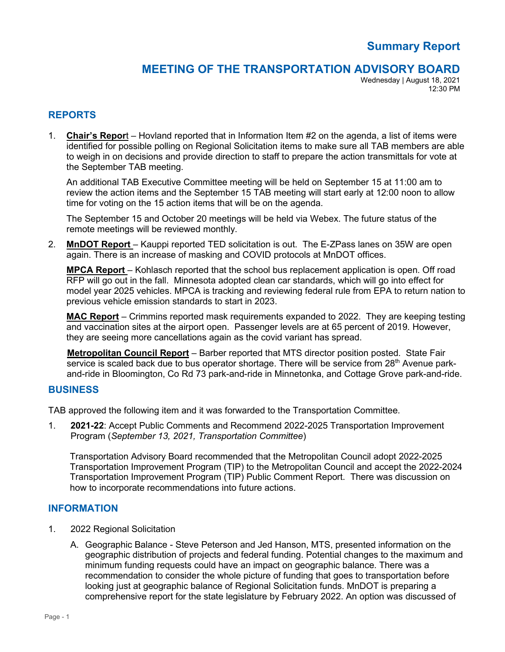# **Summary Report**

## **MEETING OF THE TRANSPORTATION ADVISORY BOARD**

Wednesday | August 18, 2021 12:30 PM

### **REPORTS**

1. **Chair's Repor**t – Hovland reported that in Information Item #2 on the agenda, a list of items were identified for possible polling on Regional Solicitation items to make sure all TAB members are able to weigh in on decisions and provide direction to staff to prepare the action transmittals for vote at the September TAB meeting.

An additional TAB Executive Committee meeting will be held on September 15 at 11:00 am to review the action items and the September 15 TAB meeting will start early at 12:00 noon to allow time for voting on the 15 action items that will be on the agenda.

The September 15 and October 20 meetings will be held via Webex. The future status of the remote meetings will be reviewed monthly.

2. **MnDOT Report** – Kauppi reported TED solicitation is out. The E-ZPass lanes on 35W are open again. There is an increase of masking and COVID protocols at MnDOT offices.

**MPCA Report** – Kohlasch reported that the school bus replacement application is open. Off road RFP will go out in the fall. Minnesota adopted clean car standards, which will go into effect for model year 2025 vehicles. MPCA is tracking and reviewing federal rule from EPA to return nation to previous vehicle emission standards to start in 2023.

**MAC Report** – Crimmins reported mask requirements expanded to 2022. They are keeping testing and vaccination sites at the airport open. Passenger levels are at 65 percent of 2019. However, they are seeing more cancellations again as the covid variant has spread.

**Metropolitan Council Report** – Barber reported that MTS director position posted. State Fair service is scaled back due to bus operator shortage. There will be service from  $28<sup>th</sup>$  Avenue parkand-ride in Bloomington, Co Rd 73 park-and-ride in Minnetonka, and Cottage Grove park-and-ride.

#### **BUSINESS**

TAB approved the following item and it was forwarded to the Transportation Committee.

1. **2021-22**: Accept Public Comments and Recommend 2022-2025 Transportation Improvement Program (*September 13, 2021, Transportation Committee*)

Transportation Advisory Board recommended that the Metropolitan Council adopt 2022-2025 Transportation Improvement Program (TIP) to the Metropolitan Council and accept the 2022-2024 Transportation Improvement Program (TIP) Public Comment Report. There was discussion on how to incorporate recommendations into future actions.

#### **INFORMATION**

- 1. 2022 Regional Solicitation
	- A. Geographic Balance Steve Peterson and Jed Hanson, MTS, presented information on the geographic distribution of projects and federal funding. Potential changes to the maximum and minimum funding requests could have an impact on geographic balance. There was a recommendation to consider the whole picture of funding that goes to transportation before looking just at geographic balance of Regional Solicitation funds. MnDOT is preparing a comprehensive report for the state legislature by February 2022. An option was discussed of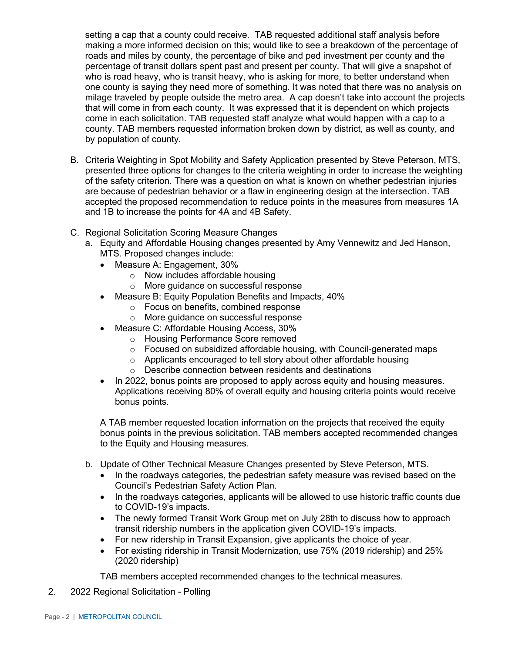setting a cap that a county could receive. TAB requested additional staff analysis before making a more informed decision on this; would like to see a breakdown of the percentage of roads and miles by county, the percentage of bike and ped investment per county and the percentage of transit dollars spent past and present per county. That will give a snapshot of who is road heavy, who is transit heavy, who is asking for more, to better understand when one county is saying they need more of something. It was noted that there was no analysis on milage traveled by people outside the metro area. A cap doesn't take into account the projects that will come in from each county. It was expressed that it is dependent on which projects come in each solicitation. TAB requested staff analyze what would happen with a cap to a county. TAB members requested information broken down by district, as well as county, and by population of county.

- B. Criteria Weighting in Spot Mobility and Safety Application presented by Steve Peterson, MTS, presented three options for changes to the criteria weighting in order to increase the weighting of the safety criterion. There was a question on what is known on whether pedestrian injuries are because of pedestrian behavior or a flaw in engineering design at the intersection. TAB accepted the proposed recommendation to reduce points in the measures from measures 1A and 1B to increase the points for 4A and 4B Safety.
- C. Regional Solicitation Scoring Measure Changes
	- a. Equity and Affordable Housing changes presented by Amy Vennewitz and Jed Hanson, MTS. Proposed changes include:
		- Measure A: Engagement, 30%
			- o Now includes affordable housing
			- o More guidance on successful response
		- Measure B: Equity Population Benefits and Impacts, 40%
			- o Focus on benefits, combined response
			- o More guidance on successful response
		- Measure C: Affordable Housing Access, 30%
			- o Housing Performance Score removed
			- o Focused on subsidized affordable housing, with Council-generated maps
			- o Applicants encouraged to tell story about other affordable housing
			- o Describe connection between residents and destinations
		- In 2022, bonus points are proposed to apply across equity and housing measures. Applications receiving 80% of overall equity and housing criteria points would receive bonus points.

A TAB member requested location information on the projects that received the equity bonus points in the previous solicitation. TAB members accepted recommended changes to the Equity and Housing measures.

- b. Update of Other Technical Measure Changes presented by Steve Peterson, MTS.
	- In the roadways categories, the pedestrian safety measure was revised based on the Council's Pedestrian Safety Action Plan.
	- In the roadways categories, applicants will be allowed to use historic traffic counts due to COVID-19's impacts.
	- The newly formed Transit Work Group met on July 28th to discuss how to approach transit ridership numbers in the application given COVID-19's impacts.
	- For new ridership in Transit Expansion, give applicants the choice of year.
	- For existing ridership in Transit Modernization, use 75% (2019 ridership) and 25% (2020 ridership)

TAB members accepted recommended changes to the technical measures.

2. 2022 Regional Solicitation - Polling